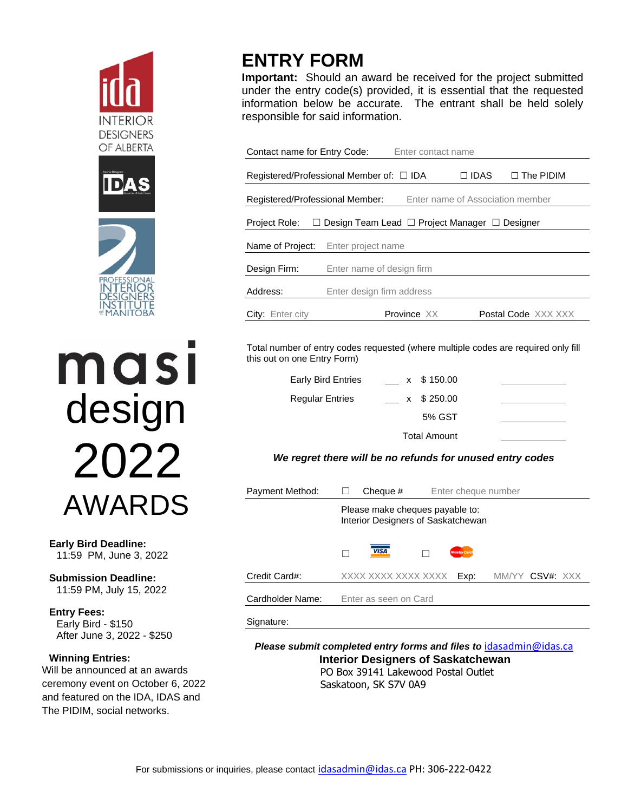





ması design 2022 AWARDS

**Early Bird Deadline:**  11:59 PM, June 3, 2022

**Submission Deadline:** 11:59 PM, July 15, 2022

**Entry Fees:** Early Bird - \$150 After June 3, 2022 - \$250

# **Winning Entries:**

Will be announced at an awards ceremony event on October 6, 2022 and featured on the IDA, IDAS and The PIDIM, social networks.

# **ENTRY FORM**

**Important:** Should an award be received for the project submitted under the entry code(s) provided, it is essential that the requested information below be accurate. The entrant shall be held solely responsible for said information.

| Contact name for Entry Code:<br>Enter contact name                  |                           |                                                         |             |                            |  |  |  |  |
|---------------------------------------------------------------------|---------------------------|---------------------------------------------------------|-------------|----------------------------|--|--|--|--|
| Registered/Professional Member of: □ IDA                            |                           |                                                         | $\Box$ IDAS | $\Box$ The PIDIM           |  |  |  |  |
| Registered/Professional Member:<br>Enter name of Association member |                           |                                                         |             |                            |  |  |  |  |
| Project Role:<br>ш                                                  |                           | Design Team Lead $\Box$ Project Manager $\Box$ Designer |             |                            |  |  |  |  |
| Name of Project:                                                    | Enter project name        |                                                         |             |                            |  |  |  |  |
| Design Firm:                                                        | Enter name of design firm |                                                         |             |                            |  |  |  |  |
| Address:                                                            | Enter design firm address |                                                         |             |                            |  |  |  |  |
| City: Enter city                                                    |                           | Province XX                                             |             | <b>Postal Code XXX XXX</b> |  |  |  |  |

Total number of entry codes requested (where multiple codes are required only fill this out on one Entry Form)

| <b>Early Bird Entries</b> | x \$150.00          |  |
|---------------------------|---------------------|--|
| <b>Regular Entries</b>    | x \$250.00          |  |
|                           | 5% GST              |  |
|                           | <b>Total Amount</b> |  |

*We regret there will be no refunds for unused entry codes*

| Payment Method:  |                                                                       | Cheque #              |  | Enter cheque number |                 |  |  |
|------------------|-----------------------------------------------------------------------|-----------------------|--|---------------------|-----------------|--|--|
|                  | Please make cheques payable to:<br>Interior Designers of Saskatchewan |                       |  |                     |                 |  |  |
|                  |                                                                       | <b>VISA</b>           |  | <b>MasterCard</b>   |                 |  |  |
| Credit Card#:    |                                                                       | XXXX XXXX XXXX XXXX   |  | Exp:                | MM/YY CSV#: XXX |  |  |
| Cardholder Name: |                                                                       | Enter as seen on Card |  |                     |                 |  |  |

Signature:

*Please submit completed entry forms and files to* [idasadmin@idas.ca](mailto:idasadmin@idas.ca) **Interior Designers of Saskatchewan** PO Box 39141 Lakewood Postal Outlet Saskatoon, SK S7V 0A9